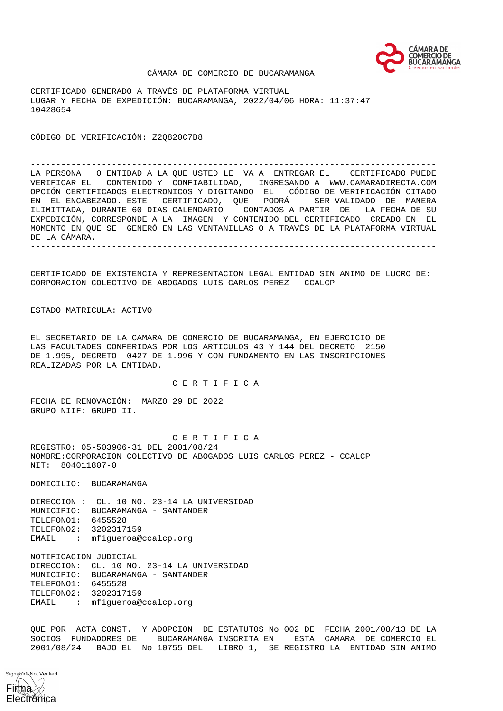

### CÁMARA DE COMERCIO DE BUCARAMANGA

CERTIFICADO GENERADO A TRAVÉS DE PLATAFORMA VIRTUAL LUGAR Y FECHA DE EXPEDICIÓN: BUCARAMANGA, 2022/04/06 HORA: 11:37:47 10428654

CÓDIGO DE VERIFICACIÓN: Z2Q820C7B8

-------------------------------------------------------------------------------- LA PERSONA O ENTIDAD A LA QUE USTED LE VA A ENTREGAR EL CERTIFICADO PUEDE VERIFICAR EL CONTENIDO Y CONFIABILIDAD, INGRESANDO A WWW.CAMARADIRECTA.COM OPCIÓN CERTIFICADOS ELECTRONICOS Y DIGITANDO EL CÓDIGO DE VERIFICACIÓN CITADO EN EL ENCABEZADO. ESTE CERTIFICADO, QUE PODRÁ SER VALIDADO DE MANERA ILIMITTADA, DURANTE 60 DIAS CALENDARIO CONTADOS A PARTIR DE LA FECHA DE SU EXPEDICIÓN, CORRESPONDE A LA IMAGEN Y CONTENIDO DEL CERTIFICADO CREADO EN EL MOMENTO EN QUE SE GENERÓ EN LAS VENTANILLAS O A TRAVÉS DE LA PLATAFORMA VIRTUAL DE LA CÁMARA. --------------------------------------------------------------------------------

CERTIFICADO DE EXISTENCIA Y REPRESENTACION LEGAL ENTIDAD SIN ANIMO DE LUCRO DE: CORPORACION COLECTIVO DE ABOGADOS LUIS CARLOS PEREZ - CCALCP

ESTADO MATRICULA: ACTIVO

EL SECRETARIO DE LA CAMARA DE COMERCIO DE BUCARAMANGA, EN EJERCICIO DE LAS FACULTADES CONFERIDAS POR LOS ARTICULOS 43 Y 144 DEL DECRETO 2150 DE 1.995, DECRETO 0427 DE 1.996 Y CON FUNDAMENTO EN LAS INSCRIPCIONES REALIZADAS POR LA ENTIDAD.

C E R T I F I C A

FECHA DE RENOVACIÓN: MARZO 29 DE 2022 GRUPO NIIF: GRUPO II.

 C E R T I F I C A REGISTRO: 05-503906-31 DEL 2001/08/24 NOMBRE:CORPORACION COLECTIVO DE ABOGADOS LUIS CARLOS PEREZ - CCALCP NIT: 804011807-0

DOMICILIO: BUCARAMANGA

DIRECCION : CL. 10 NO. 23-14 LA UNIVERSIDAD MUNICIPIO: BUCARAMANGA - SANTANDER TELEFONO1: 6455528 TELEFONO2: 3202317159 EMAIL : mfigueroa@ccalcp.org

NOTIFICACION JUDICIAL

DIRECCION: CL. 10 NO. 23-14 LA UNIVERSIDAD MUNICIPIO: BUCARAMANGA - SANTANDER TELEFONO1: 6455528 TELEFONO2: 3202317159 EMAIL : mfigueroa@ccalcp.org

QUE POR ACTA CONST. Y ADOPCION DE ESTATUTOS No 002 DE FECHA 2001/08/13 DE LA SOCIOS FUNDADORES DE BUCARAMANGA INSCRITA EN ESTA CAMARA DE COMERCIO EL 2001/08/24 BAJO EL No 10755 DEL LIBRO 1, SE REGISTRO LA ENTIDAD SIN ANIMO

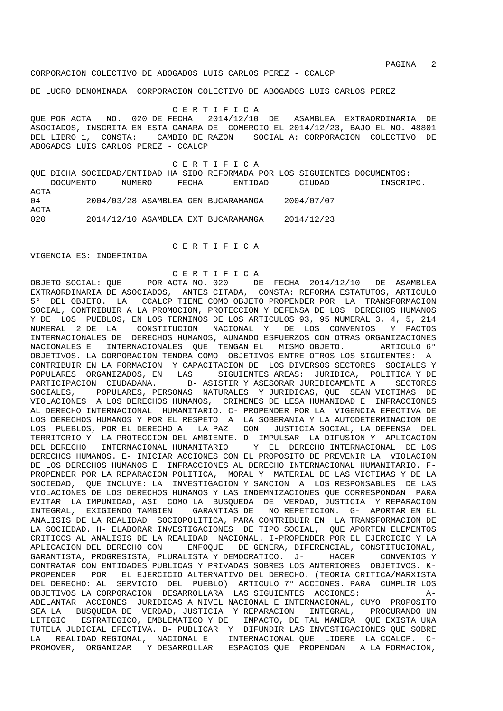PAGINA 2

DE LUCRO DENOMINADA CORPORACION COLECTIVO DE ABOGADOS LUIS CARLOS PEREZ

 C E R T I F I C A QUE POR ACTA NO. 020 DE FECHA 2014/12/10 DE ASAMBLEA EXTRAORDINARIA DE ASOCIADOS, INSCRITA EN ESTA CAMARA DE COMERCIO EL 2014/12/23, BAJO EL NO. 48801 DEL LIBRO 1, CONSTA: CAMBIO DE RAZON SOCIAL A: CORPORACION COLECTIVO DE ABOGADOS LUIS CARLOS PEREZ - CCALCP

 C E R T I F I C A QUE DICHA SOCIEDAD/ENTIDAD HA SIDO REFORMADA POR LOS SIGUIENTES DOCUMENTOS: DOCUMENTO NUMERO FECHA ENTIDAD CIUDAD INSCRIPC. ACTA 04 2004/03/28 ASAMBLEA GEN BUCARAMANGA 2004/07/07 ACTA 020 2014/12/10 ASAMBLEA EXT BUCARAMANGA 2014/12/23

# C E R T I F I C A

#### VIGENCIA ES: INDEFINIDA

## C E R T I F I C A

OBJETO SOCIAL: QUE POR ACTA NO. 020 DE FECHA 2014/12/10 DE ASAMBLEA EXTRAORDINARIA DE ASOCIADOS, ANTES CITADA, CONSTA: REFORMA ESTATUTOS, ARTICULO 5° DEL OBJETO. LA CCALCP TIENE COMO OBJETO PROPENDER POR LA TRANSFORMACION SOCIAL, CONTRIBUIR A LA PROMOCION, PROTECCION Y DEFENSA DE LOS DERECHOS HUMANOS Y DE LOS PUEBLOS, EN LOS TERMINOS DE LOS ARTICULOS 93, 95 NUMERAL 3, 4, 5, 214 NUMERAL 2 DE LA CONSTITUCION NACIONAL Y DE LOS CONVENIOS Y PACTOS INTERNACIONALES DE DERECHOS HUMANOS, AUNANDO ESFUERZOS CON OTRAS ORGANIZACIONES NACIONALES E INTERNACIONALES QUE TENGAN EL MISMO OBJETO. ARTICULO 6° OBJETIVOS. LA CORPORACION TENDRA COMO OBJETIVOS ENTRE OTROS LOS SIGUIENTES: A-CONTRIBUIR EN LA FORMACION Y CAPACITACION DE LOS DIVERSOS SECTORES SOCIALES Y POPULARES ORGANIZADOS, EN LAS SIGUIENTES AREAS: JURIDICA, POLITICA Y DE PARTICIPACION CIUDADANA. B- ASISTIR Y ASESORAR JURIDICAMENTE A SECTORES SOCIALES, POPULARES, PERSONAS NATURALES Y JURIDICAS, QUE SEAN VICTIMAS DE VIOLACIONES A LOS DERECHOS HUMANOS, CRIMENES DE LESA HUMANIDAD E INFRACCIONES AL DERECHO INTERNACIONAL HUMANITARIO. C- PROPENDER POR LA VIGENCIA EFECTIVA DE LOS DERECHOS HUMANOS Y POR EL RESPETO A LA SOBERANIA Y LA AUTODETERMINACION DE LOS PUEBLOS, POR EL DERECHO A LA PAZ CON JUSTICIA SOCIAL, LA DEFENSA DEL TERRITORIO Y LA PROTECCION DEL AMBIENTE. D- IMPULSAR LA DIFUSION Y APLICACION DEL DERECHO INTERNACIONAL HUMANITARIO Y EL DERECHO INTERNACIONAL DE LOS DERECHOS HUMANOS. E- INICIAR ACCIONES CON EL PROPOSITO DE PREVENIR LA VIOLACION DE LOS DERECHOS HUMANOS E INFRACCIONES AL DERECHO INTERNACIONAL HUMANITARIO. F-PROPENDER POR LA REPARACION POLITICA, MORAL Y MATERIAL DE LAS VICTIMAS Y DE LA SOCIEDAD, QUE INCLUYE: LA INVESTIGACION Y SANCION A LOS RESPONSABLES DE LAS VIOLACIONES DE LOS DERECHOS HUMANOS Y LAS INDEMNIZACIONES QUE CORRESPONDAN PARA EVITAR LA IMPUNIDAD, ASI COMO LA BUSQUEDA DE VERDAD, JUSTICIA Y REPARACION INTEGRAL, EXIGIENDO TAMBIEN GARANTIAS DE NO REPETICION. G- APORTAR EN EL ANALISIS DE LA REALIDAD SOCIOPOLITICA, PARA CONTRIBUIR EN LA TRANSFORMACION DE LA SOCIEDAD. H- ELABORAR INVESTIGACIONES DE TIPO SOCIAL, QUE APORTEN ELEMENTOS CRITICOS AL ANALISIS DE LA REALIDAD NACIONAL. I-PROPENDER POR EL EJERCICIO Y LA APLICACION DEL DERECHO CON ENFOQUE DE GENERA, DIFERENCIAL, CONSTITUCIONAL, GARANTISTA, PROGRESISTA, PLURALISTA Y DEMOCRATICO. J- HACER CONVENIOS Y CONTRATAR CON ENTIDADES PUBLICAS Y PRIVADAS SOBRES LOS ANTERIORES OBJETIVOS. K-PROPENDER POR EL EJERCICIO ALTERNATIVO DEL DERECHO. (TEORIA CRITICA/MARXISTA DEL DERECHO: AL SERVICIO DEL PUEBLO) ARTICULO 7° ACCIONES. PARA CUMPLIR LOS OBJETIVOS LA CORPORACION DESARROLLARA LAS SIGUIENTES ACCIONES: A-ADELANTAR ACCIONES JURIDICAS A NIVEL NACIONAL E INTERNACIONAL, CUYO PROPOSITO SEA LA BUSQUEDA DE VERDAD, JUSTICIA Y REPARACION INTEGRAL, PROCURANDO UN LITIGIO ESTRATEGICO, EMBLEMATICO Y DE IMPACTO, DE TAL MANERA QUE EXISTA UNA TUTELA JUDICIAL EFECTIVA. B- PUBLICAR Y DIFUNDIR LAS INVESTIGACIONES QUE SOBRE LA REALIDAD REGIONAL, NACIONAL E INTERNACIONAL QUE LIDERE LA CCALCP. C-PROMOVER, ORGANIZAR Y DESARROLLAR ESPACIOS QUE PROPENDAN A LA FORMACION,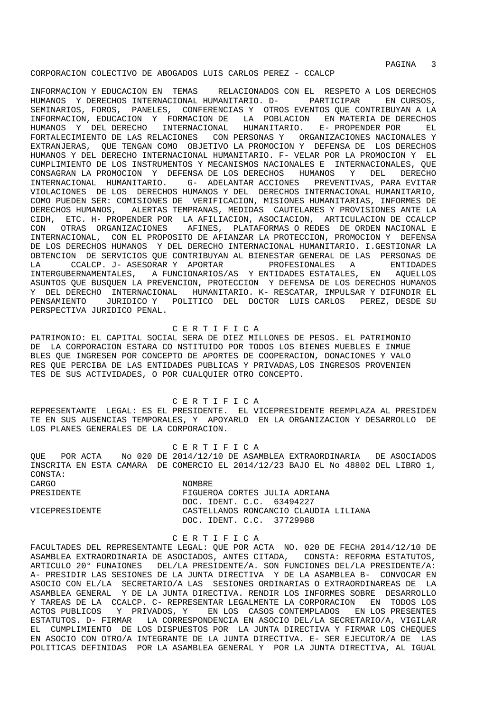PAGINA 3

### CORPORACION COLECTIVO DE ABOGADOS LUIS CARLOS PEREZ - CCALCP

INFORMACION Y EDUCACION EN TEMAS RELACIONADOS CON EL RESPETO A LOS DERECHOS HUMANOS Y DERECHOS INTERNACIONAL HUMANITARIO. D- PARTICIPAR EN CURSOS, SEMINARIOS, FOROS, PANELES, CONFERENCIAS Y OTROS EVENTOS QUE CONTRIBUYAN A LA INFORMACION, EDUCACION Y FORMACION DE LA POBLACION EN MATERIA DE DERECHOS HUMANOS Y DEL DERECHO INTERNACIONAL HUMANITARIO. E- PROPENDER POR EL FORTALECIMIENTO DE LAS RELACIONES CON PERSONAS Y ORGANIZACIONES NACIONALES Y EXTRANJERAS, QUE TENGAN COMO OBJETIVO LA PROMOCION Y DEFENSA DE LOS DERECHOS HUMANOS Y DEL DERECHO INTERNACIONAL HUMANITARIO. F- VELAR POR LA PROMOCION Y EL CUMPLIMIENTO DE LOS INSTRUMENTOS Y MECANISMOS NACIONALES E INTERNACIONALES, QUE CONSAGRAN LA PROMOCION Y DEFENSA DE LOS DERECHOS HUMANOS Y DEL DERECHO INTERNACIONAL HUMANITARIO. G- ADELANTAR ACCIONES PREVENTIVAS, PARA EVITAR VIOLACIONES DE LOS DERECHOS HUMANOS Y DEL DERECHOS INTERNACIONAL HUMANITARIO, COMO PUEDEN SER: COMISIONES DE VERIFICACION, MISIONES HUMANITARIAS, INFORMES DE DERECHOS HUMANOS, ALERTAS TEMPRANAS, MEDIDAS CAUTELARES Y PROVISIONES ANTE LA CIDH, ETC. H- PROPENDER POR LA AFILIACION, ASOCIACION, ARTICULACION DE CCALCP CON OTRAS ORGANIZACIONES AFINES, PLATAFORMAS O REDES DE ORDEN NACIONAL E INTERNACIONAL, CON EL PROPOSITO DE AFIANZAR LA PROTECCION, PROMOCION Y DEFENSA DE LOS DERECHOS HUMANOS Y DEL DERECHO INTERNACIONAL HUMANITARIO. I.GESTIONAR LA OBTENCION DE SERVICIOS QUE CONTRIBUYAN AL BIENESTAR GENERAL DE LAS PERSONAS DE LA CCALCP. J- ASESORAR Y APORTAR PROFESIONALES A ENTIDADES INTERGUBERNAMENTALES, A FUNCIONARIOS/AS Y ENTIDADES ESTATALES, EN AQUELLOS ASUNTOS QUE BUSQUEN LA PREVENCION, PROTECCION Y DEFENSA DE LOS DERECHOS HUMANOS Y DEL DERECHO INTERNACIONAL HUMANITARIO. K- RESCATAR, IMPULSAR Y DIFUNDIR EL PENSAMIENTO JURIDICO Y POLITICO DEL DOCTOR LUIS CARLOS PEREZ, DESDE SU PERSPECTIVA JURIDICO PENAL.

### C E R T I F I C A

PATRIMONIO: EL CAPITAL SOCIAL SERA DE DIEZ MILLONES DE PESOS. EL PATRIMONIO DE LA CORPORACION ESTARA CO NSTITUIDO POR TODOS LOS BIENES MUEBLES E INMUE BLES QUE INGRESEN POR CONCEPTO DE APORTES DE COOPERACION, DONACIONES Y VALO RES QUE PERCIBA DE LAS ENTIDADES PUBLICAS Y PRIVADAS,LOS INGRESOS PROVENIEN TES DE SUS ACTIVIDADES, O POR CUALQUIER OTRO CONCEPTO.

 C E R T I F I C A REPRESENTANTE LEGAL: ES EL PRESIDENTE. EL VICEPRESIDENTE REEMPLAZA AL PRESIDEN TE EN SUS AUSENCIAS TEMPORALES, Y APOYARLO EN LA ORGANIZACION Y DESARROLLO DE LOS PLANES GENERALES DE LA CORPORACION.

 C E R T I F I C A QUE POR ACTA No 020 DE 2014/12/10 DE ASAMBLEA EXTRAORDINARIA DE ASOCIADOS INSCRITA EN ESTA CAMARA DE COMERCIO EL 2014/12/23 BAJO EL No 48802 DEL LIBRO 1, CONSTA: CARGO NOMBRE PRESIDENTE FIGUEROA CORTES JULIA ADRIANA DOC. IDENT. C.C. 63494227 VICEPRESIDENTE CASTELLANOS RONCANCIO CLAUDIA LILIANA DOC. IDENT. C.C. 37729988

#### C E R T I F I C A

FACULTADES DEL REPRESENTANTE LEGAL: QUE POR ACTA NO. 020 DE FECHA 2014/12/10 DE ASAMBLEA EXTRAORDINARIA DE ASOCIADOS, ANTES CITADA, CONSTA: REFORMA ESTATUTOS, ARTICULO 20° FUNAIONES DEL/LA PRESIDENTE/A. SON FUNCIONES DEL/LA PRESIDENTE/A: A- PRESIDIR LAS SESIONES DE LA JUNTA DIRECTIVA Y DE LA ASAMBLEA B- CONVOCAR EN ASOCIO CON EL/LA SECRETARIO/A LAS SESIONES ORDINARIAS O EXTRAORDINAREAS DE LA ASAMBLEA GENERAL Y DE LA JUNTA DIRECTIVA. RENDIR LOS INFORMES SOBRE DESARROLLO Y TAREAS DE LA CCALCP. C- REPRESENTAR LEGALMENTE LA CORPORACION EN TODOS LOS ACTOS PUBLICOS Y PRIVADOS, Y EN LOS CASOS CONTEMPLADOS EN LOS PRESENTES ESTATUTOS. D- FIRMAR LA CORRESPONDENCIA EN ASOCIO DEL/LA SECRETARIO/A, VIGILAR EL CUMPLIMIENTO DE LOS DISPUESTOS POR LA JUNTA DIRECTIVA Y FIRMAR LOS CHEQUES EN ASOCIO CON OTRO/A INTEGRANTE DE LA JUNTA DIRECTIVA. E- SER EJECUTOR/A DE LAS POLITICAS DEFINIDAS POR LA ASAMBLEA GENERAL Y POR LA JUNTA DIRECTIVA, AL IGUAL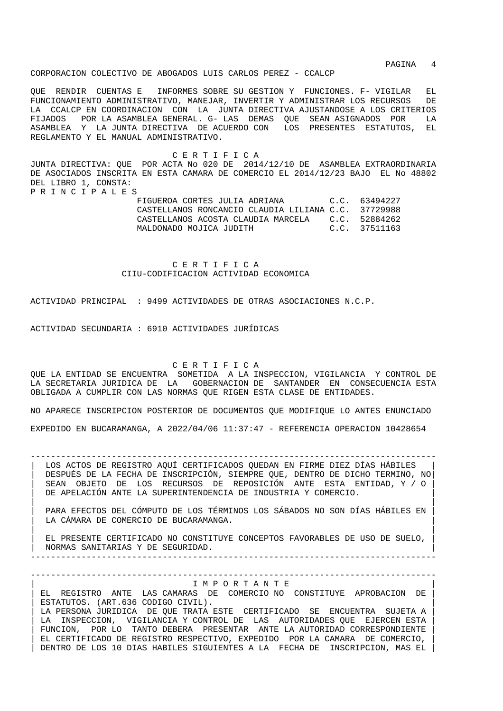PAGINA 4

CORPORACION COLECTIVO DE ABOGADOS LUIS CARLOS PEREZ - CCALCP

QUE RENDIR CUENTAS E INFORMES SOBRE SU GESTION Y FUNCIONES. F- VIGILAR EL FUNCIONAMIENTO ADMINISTRATIVO, MANEJAR, INVERTIR Y ADMINISTRAR LOS RECURSOS DE LA CCALCP EN COORDINACION CON LA JUNTA DIRECTIVA AJUSTANDOSE A LOS CRITERIOS FIJADOS POR LA ASAMBLEA GENERAL. G- LAS DEMAS QUE SEAN ASIGNADOS POR LA ASAMBLEA Y LA JUNTA DIRECTIVA DE ACUERDO CON LOS PRESENTES ESTATUTOS, EL REGLAMENTO Y EL MANUAL ADMINISTRATIVO.

 C E R T I F I C A JUNTA DIRECTIVA: QUE POR ACTA No 020 DE 2014/12/10 DE ASAMBLEA EXTRAORDINARIA DE ASOCIADOS INSCRITA EN ESTA CAMARA DE COMERCIO EL 2014/12/23 BAJO EL No 48802 DEL LIBRO 1, CONSTA: P R I N C I P A L E S

> FIGUEROA CORTES JULIA ADRIANA C.C. 63494227 CASTELLANOS RONCANCIO CLAUDIA LILIANA C.C. 37729988 CASTELLANOS ACOSTA CLAUDIA MARCELA C.C. 52884262 MALDONADO MOJICA JUDITH C.C. 37511163

 C E R T I F I C A CIIU-CODIFICACION ACTIVIDAD ECONOMICA

ACTIVIDAD PRINCIPAL : 9499 ACTIVIDADES DE OTRAS ASOCIACIONES N.C.P.

ACTIVIDAD SECUNDARIA : 6910 ACTIVIDADES JURÍDICAS

C E R T I F I C A

QUE LA ENTIDAD SE ENCUENTRA SOMETIDA A LA INSPECCION, VIGILANCIA Y CONTROL DE LA SECRETARIA JURIDICA DE LA GOBERNACION DE SANTANDER EN CONSECUENCIA ESTA OBLIGADA A CUMPLIR CON LAS NORMAS QUE RIGEN ESTA CLASE DE ENTIDADES.

NO APARECE INSCRIPCION POSTERIOR DE DOCUMENTOS QUE MODIFIQUE LO ANTES ENUNCIADO EXPEDIDO EN BUCARAMANGA, A 2022/04/06 11:37:47 - REFERENCIA OPERACION 10428654

-------------------------------------------------------------------------------- LOS ACTOS DE REGISTRO AQUÍ CERTIFICADOS QUEDAN EN FIRME DIEZ DÍAS HÁBILES | DESPUÉS DE LA FECHA DE INSCRIPCIÓN, SIEMPRE QUE, DENTRO DE DICHO TERMINO, NO| | SEAN OBJETO DE LOS RECURSOS DE REPOSICIÓN ANTE ESTA ENTIDAD, Y / O | DE APELACIÓN ANTE LA SUPERINTENDENCIA DE INDUSTRIA Y COMERCIO.

| | | PARA EFECTOS DEL CÓMPUTO DE LOS TÉRMINOS LOS SÁBADOS NO SON DÍAS HÁBILES EN | LA CÁMARA DE COMERCIO DE BUCARAMANGA. | |

| EL PRESENTE CERTIFICADO NO CONSTITUYE CONCEPTOS FAVORABLES DE USO DE SUELO, | | NORMAS SANITARIAS Y DE SEGURIDAD. |

-------------------------------------------------------------------------------- --------------------------------------------------------------------------------

| I M P O R T A N T E |

| EL REGISTRO ANTE LAS CAMARAS DE COMERCIO NO CONSTITUYE APROBACION DE | ESTATUTOS. (ART.636 CODIGO CIVIL). LA PERSONA JURIDICA DE QUE TRATA ESTE CERTIFICADO SE ENCUENTRA SUJETA A LA INSPECCION, VIGILANCIA Y CONTROL DE LAS AUTORIDADES QUE EJERCEN ESTA FUNCION, POR LO TANTO DEBERA PRESENTAR ANTE LA AUTORIDAD CORRESPONDIENTE | EL CERTIFICADO DE REGISTRO RESPECTIVO, EXPEDIDO POR LA CAMARA DE COMERCIO, | | DENTRO DE LOS 10 DIAS HABILES SIGUIENTES A LA FECHA DE INSCRIPCION, MAS EL |